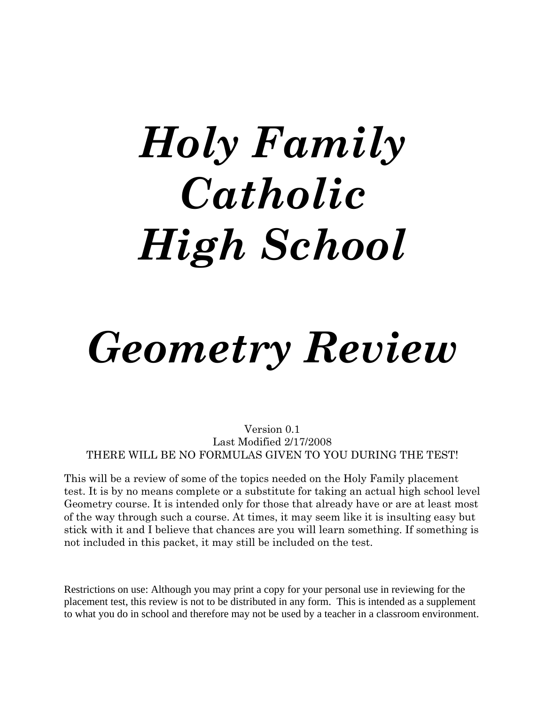# *Holy Family Catholic High School*

# *Geometry Review*

Version 0.1 Last Modified 2/17/2008 THERE WILL BE NO FORMULAS GIVEN TO YOU DURING THE TEST!

This will be a review of some of the topics needed on the Holy Family placement test. It is by no means complete or a substitute for taking an actual high school level Geometry course. It is intended only for those that already have or are at least most of the way through such a course. At times, it may seem like it is insulting easy but stick with it and I believe that chances are you will learn something. If something is not included in this packet, it may still be included on the test.

Restrictions on use: Although you may print a copy for your personal use in reviewing for the placement test, this review is not to be distributed in any form. This is intended as a supplement to what you do in school and therefore may not be used by a teacher in a classroom environment.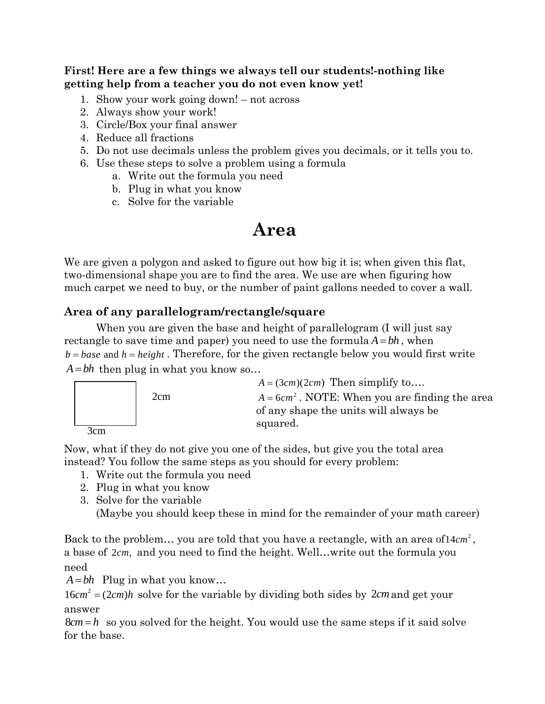**First! Here are a few things we always tell our students!-nothing like getting help from a teacher you do not even know yet!** 

- 1. Show your work going down! not across
- 2. Always show your work!
- 3. Circle/Box your final answer
- 4. Reduce all fractions
- 5. Do not use decimals unless the problem gives you decimals, or it tells you to.
- 6. Use these steps to solve a problem using a formula
	- a. Write out the formula you need
	- b. Plug in what you know
	- c. Solve for the variable

# **Area**

We are given a polygon and asked to figure out how big it is; when given this flat, two-dimensional shape you are to find the area. We use are when figuring how much carpet we need to buy, or the number of paint gallons needed to cover a wall.

# **Area of any parallelogram/rectangle/square**

 When you are given the base and height of parallelogram (I will just say rectangle to save time and paper) you need to use the formula  $A = bh$ , when  $b = base$  and  $h = height$ . Therefore, for the given rectangle below you would first write  $A = bh$  then plug in what you know so...



Now, what if they do not give you one of the sides, but give you the total area instead? You follow the same steps as you should for every problem:

- 1. Write out the formula you need
- 2. Plug in what you know
- 3. Solve for the variable

(Maybe you should keep these in mind for the remainder of your math career)

Back to the problem... you are told that you have a rectangle, with an area of 14*cm*<sup>2</sup>, a base of 2cm, and you need to find the height. Well...write out the formula you need

 $A = bh$  Plug in what you know...

 $16 cm<sup>2</sup> = (2 cm)h$  solve for the variable by dividing both sides by 2*cm* and get your answer

 $8cm = h$  so you solved for the height. You would use the same steps if it said solve for the base.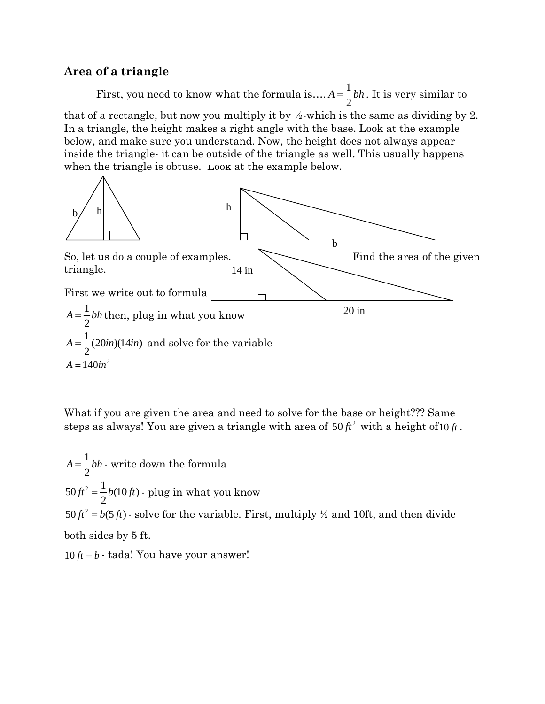#### **Area of a triangle**

First, you need to know what the formula is....  $A = \frac{1}{2}$ 2  $A = \frac{1}{b}bh$ . It is very similar to that of a rectangle, but now you multiply it by ½-which is the same as dividing by 2. In a triangle, the height makes a right angle with the base. Look at the example below, and make sure you understand. Now, the height does not always appear inside the triangle- it can be outside of the triangle as well. This usually happens when the triangle is obtuse. Look at the example below.



What if you are given the area and need to solve for the base or height??? Same steps as always! You are given a triangle with area of  $50 \, \text{ft}^2$  with a height of  $10 \, \text{ft}$ .

1 2  $A = \frac{1}{2}bh$  - write down the formula  $50 \hat{H}^2 = \frac{1}{2} b(10 \hat{H})$  - plug in what you know  $50 \text{ ft}^2 = b(5 \text{ ft})$  · solve for the variable. First, multiply  $\frac{1}{2}$  and 10ft, and then divide both sides by 5 ft.

 $10 ft = b - \text{tada}$ ! You have your answer!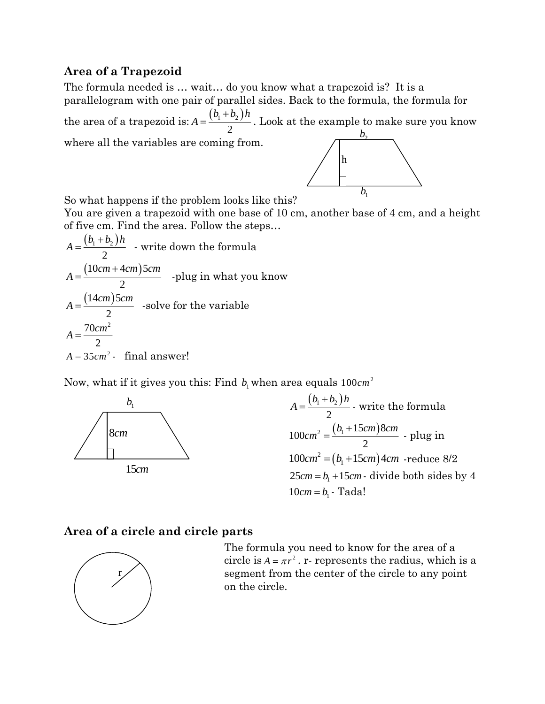# **Area of a Trapezoid**

The formula needed is … wait… do you know what a trapezoid is? It is a parallelogram with one pair of parallel sides. Back to the formula, the formula for the area of a trapezoid is:  $A = \frac{(b_1 + b_2)}{2}$ 2  $b_1 + b_2$ )*h*  $A = \frac{(b_1 + b_2)h}{h}$ . Look at the example to make sure you know where all the variables are coming from.  $b<sub>2</sub>$ 



So what happens if the problem looks like this?

You are given a trapezoid with one base of 10 cm, another base of 4 cm, and a height of five cm. Find the area. Follow the steps…

$$
A = \frac{(b_1 + b_2)h}{2}
$$
 - write down the formula  

$$
A = \frac{(10cm + 4cm)5cm}{2}
$$
 -plug in what you know  

$$
A = \frac{(14cm)5cm}{2}
$$
 -solve for the variable  

$$
A = \frac{70cm^2}{2}
$$

$$
A = 35cm^2
$$
 - final answer!

Now, what if it gives you this: Find  $b_1$  when area equals  $100cm^2$ 





# **Area of a circle and circle parts**



The formula you need to know for the area of a circle is  $A = \pi r^2$ . r- represents the radius, which is a segment from the center of the circle to any point on the circle.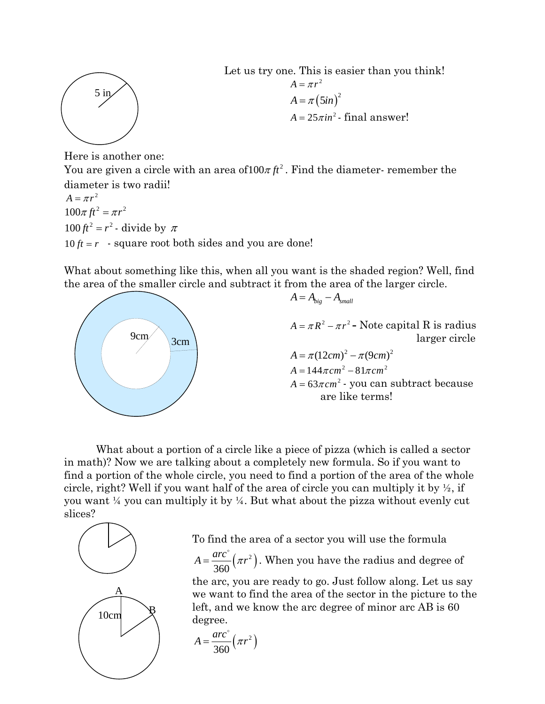

Let us try one. This is easier than you think!  $A = \pi r^2$  $A = \pi (5in)^2$  $A = 25\pi in^2$ - final answer!

Here is another one:

You are given a circle with an area of  $100\pi \, \text{ft}^2$ . Find the diameter- remember the diameter is two radii!

 $A = \pi r^2$  $100\pi ft^2 = \pi r^2$  $100 \text{ ft}^2 = r^2$  - divide by  $\pi$  $10 ft = r$  - square root both sides and you are done!

What about something like this, when all you want is the shaded region? Well, find the area of the smaller circle and subtract it from the area of the larger circle.



What about a portion of a circle like a piece of pizza (which is called a sector in math)? Now we are talking about a completely new formula. So if you want to find a portion of the whole circle, you need to find a portion of the area of the whole circle, right? Well if you want half of the area of circle you can multiply it by  $\frac{1}{2}$ , if you want ¼ you can multiply it by ¼. But what about the pizza without evenly cut slices?



To find the area of a sector you will use the formula

 $\left( \pi r^{2}\right)$ 360  $A = \frac{arc^{\degree}}{2\pi\epsilon} \left(\pi r\right)$ . When you have the radius and degree of

the arc, you are ready to go. Just follow along. Let us say we want to find the area of the sector in the picture to the left, and we know the arc degree of minor arc AB is 60 degree.

$$
A = \frac{arc^{\circ}}{360} \left(\pi r^2\right)
$$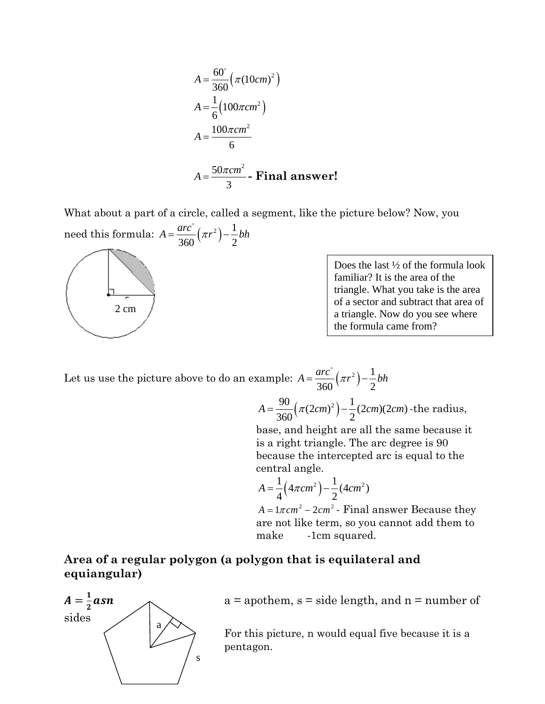$$
A = \frac{60^{\circ}}{360} (\pi (10cm)^{2})
$$
  
\n
$$
A = \frac{1}{6} (100\pi cm^{2})
$$
  
\n
$$
A = \frac{100\pi cm^{2}}{6}
$$
  
\n
$$
A = \frac{50\pi cm^{2}}{3} - \text{Final answer!}
$$

What about a part of a circle, called a segment, like the picture below? Now, you

need this formula:  $A = \frac{arc^{\circ}}{260}(\pi r^2) - \frac{1}{2}$ 360 $\binom{11}{2}$  2  $A = \frac{arc^{\circ}}{2\pi\epsilon}(\pi r^2) - \frac{1}{2}bh$ 



Does the last ½ of the formula look familiar? It is the area of the triangle. What you take is the area of a sector and subtract that area of a triangle. Now do you see where the formula came from?

Let us use the picture above to do an example:  $A = \frac{arc^{\circ}}{260}(\pi r^2) - \frac{1}{2}$ 360 $\binom{11}{2}$  2  $A = \frac{arc^{\circ}}{2\pi\epsilon}(\pi r^2) - \frac{1}{2}bh$ 

$$
A = \frac{90}{360} \left( \pi (2cm)^2 \right) - \frac{1}{2} (2cm)(2cm) \text{ - the radius,}
$$

base, and height are all the same because it is a right triangle. The arc degree is 90 because the intercepted arc is equal to the central angle.

$$
A = \frac{1}{4} (4\pi cm^2) - \frac{1}{2} (4cm^2)
$$

 $A = 1\pi$ cm<sup>2</sup> - 2cm<sup>2</sup> - Final answer Because they are not like term, so you cannot add them to make -1cm squared.

**Area of a regular polygon (a polygon that is equilateral and equiangular)** 



 $a =$  apothem,  $s =$  side length, and  $n =$  number of

For this picture, n would equal five because it is a pentagon.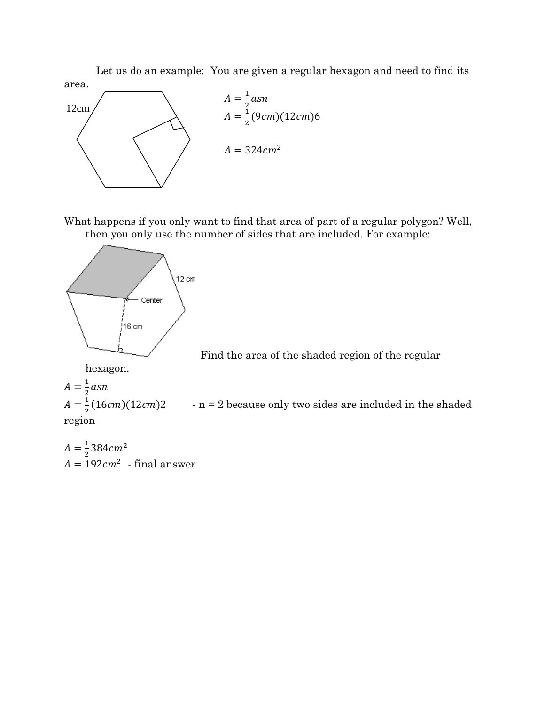Let us do an example: You are given a regular hexagon and need to find its area.



What happens if you only want to find that area of part of a regular polygon? Well, then you only use the number of sides that are included. For example:



Find the area of the shaded region of the regular

hexagon.  $A=\frac{1}{2}asn$ 

 $A = \frac{1}{2}(16cm)(12cm)2$  . n = 2 because only two sides are included in the shaded region

 $A = \frac{1}{2}384cm^2$  $A = 192cm^2$  - final answer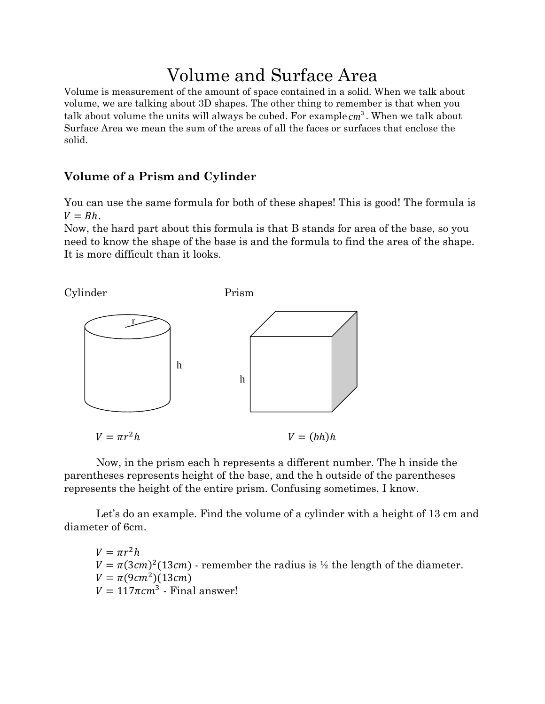# Volume and Surface Area

Volume is measurement of the amount of space contained in a solid. When we talk about volume, we are talking about 3D shapes. The other thing to remember is that when you talk about volume the units will always be cubed. For example  $cm<sup>3</sup>$ . When we talk about Surface Area we mean the sum of the areas of all the faces or surfaces that enclose the solid.

# Volume of a Prism and Cylinder

You can use the same formula for both of these shapes! This is good! The formula is  $V = Bh$ .

Now, the hard part about this formula is that B stands for area of the base, so you need to know the shape of the base is and the formula to find the area of the shape. It is more difficult than it looks.



Now, in the prism each h represents a different number. The h inside the parentheses represents height of the base, and the h outside of the parentheses represents the height of the entire prism. Confusing sometimes, I know.

Let's do an example. Find the volume of a cylinder with a height of 13 cm and diameter of 6cm.

 $V = \pi r^2 h$  $V = \pi (3cm)^2 (13cm)$  - remember the radius is  $\frac{1}{2}$  the length of the diameter.  $V = \pi(9cm^2)(13cm)$  $V = 117 \pi cm^3$  - Final answer!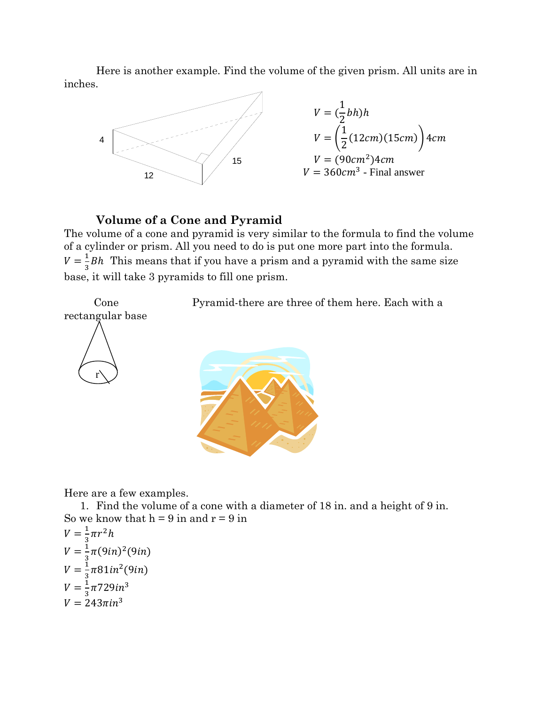Here is another example. Find the volume of the given prism. All units are in inches.



# Volume of a Cone and Pyramid

The volume of a cone and pyramid is very similar to the formula to find the volume of a cylinder or prism. All you need to do is put one more part into the formula.  $V = \frac{1}{3}Bh$  This means that if you have a prism and a pyramid with the same size base, it will take 3 pyramids to fill one prism.

Pyramid-there are three of them here. Each with a





Here are a few examples.

1. Find the volume of a cone with a diameter of 18 in. and a height of 9 in. So we know that  $h = 9$  in and  $r = 9$  in

$$
V = \frac{1}{3}\pi r^2 h
$$
  
\n
$$
V = \frac{1}{3}\pi (9in)^2 (9in)
$$
  
\n
$$
V = \frac{1}{3}\pi 81in^2 (9in)
$$
  
\n
$$
V = \frac{1}{3}\pi 729in^3
$$
  
\n
$$
V = 243\pi in^3
$$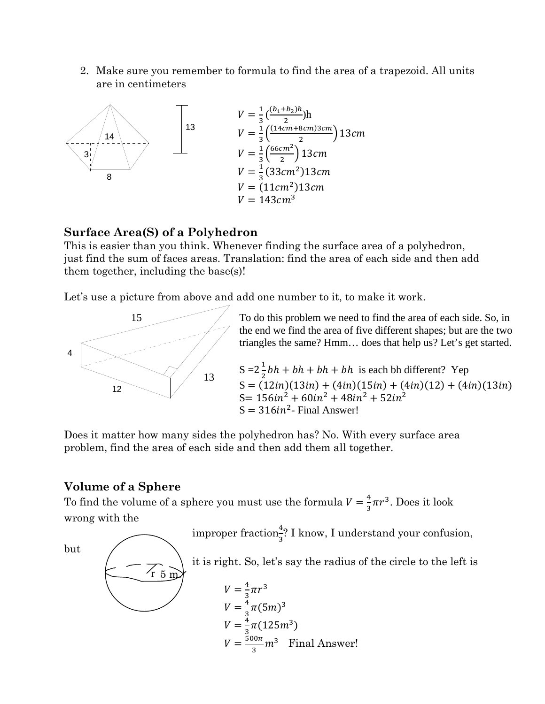2. Make sure you remember to formula to find the area of a trapezoid. All units are in centimeters



# Surface Area(S) of a Polyhedron

This is easier than you think. Whenever finding the surface area of a polyhedron, just find the sum of faces areas. Translation: find the area of each side and then add them together, including the base(s)!

Let's use a picture from above and add one number to it, to make it work.



To do this problem we need to find the area of each side. So, in the end we find the area of five different shapes; but are the two triangles the same? Hmm... does that help us? Let's get started.

 $S = 2\frac{1}{2}bh + bh + bh + bh$  is each bh different? Yep  $S = (12in)(13in) + (4in)(15in) + (4in)(12) + (4in)(13in)$ S =  $156in^2 + 60in^2 + 48in^2 + 52in^2$  $S = 316in^2$ - Final Answer!

Does it matter how many sides the polyhedron has? No. With every surface area problem, find the area of each side and then add them all together.

# **Volume of a Sphere**

To find the volume of a sphere you must use the formula  $V = \frac{4}{3}\pi r^3$ . Does it look wrong with the

improper fraction<sup>4</sup>? I know, I understand your confusion,

but



it is right. So, let's say the radius of the circle to the left is

$$
V = \frac{4}{3}\pi r^{3}
$$
  
\n
$$
V = \frac{4}{3}\pi (5m)^{3}
$$
  
\n
$$
V = \frac{4}{3}\pi (125m^{3})
$$
  
\n
$$
V = \frac{500\pi}{3}m^{3}
$$
 Final Answer!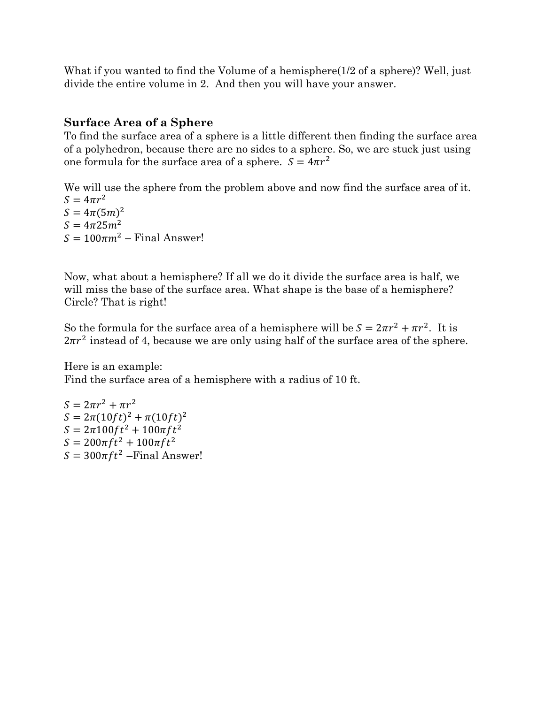What if you wanted to find the Volume of a hemisphere(1/2 of a sphere)? Well, just divide the entire volume in 2. And then you will have your answer.

# **Surface Area of a Sphere**

To find the surface area of a sphere is a little different then finding the surface area of a polyhedron, because there are no sides to a sphere. So, we are stuck just using one formula for the surface area of a sphere.  $S = 4\pi r^2$ 

We will use the sphere from the problem above and now find the surface area of it.  $S = 4\pi r^2$  $S = 4\pi (5m)^2$  $S = 4\pi 25m^2$  $S = 100\pi m^2$  – Final Answer!

Now, what about a hemisphere? If all we do it divide the surface area is half, we will miss the base of the surface area. What shape is the base of a hemisphere? Circle? That is right!

So the formula for the surface area of a hemisphere will be  $S = 2\pi r^2 + \pi r^2$ . It is  $2\pi r^2$  instead of 4, because we are only using half of the surface area of the sphere.

Here is an example: Find the surface area of a hemisphere with a radius of 10 ft.

 $S = 2\pi r^2 + \pi r^2$  $S = 2\pi (10ft)^2 + \pi (10ft)^2$  $S = 2\pi 100 ft^2 + 100\pi ft^2$  $S = 200\pi ft^2 + 100\pi ft^2$  $S = 300\pi ft^2$  – Final Answer!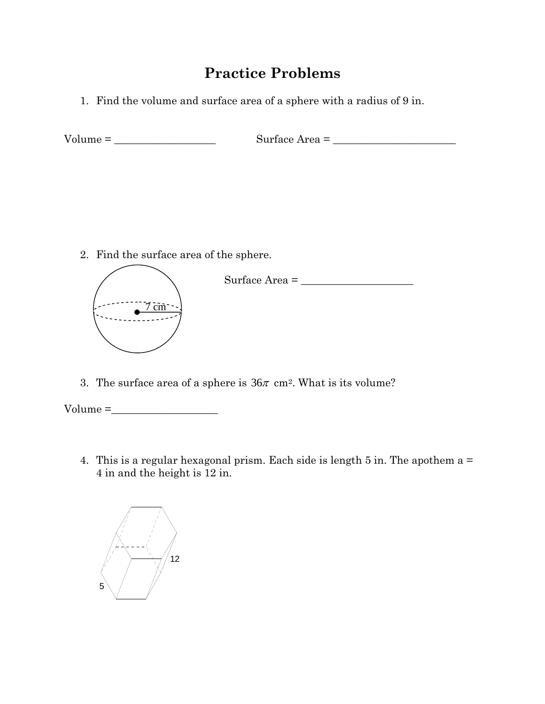# **Practice Problems**

1. Find the volume and surface area of a sphere with a radius of 9 in.

Volume = \_\_\_\_\_\_\_\_\_\_\_\_\_\_\_\_\_\_\_ Surface Area = \_\_\_\_\_\_\_\_\_\_\_\_\_\_\_\_\_\_\_\_\_\_\_

2. Find the surface area of the sphere.



3. The surface area of a sphere is  $36\pi$  cm<sup>2</sup>. What is its volume?

 $Volume = \_$ 

4. This is a regular hexagonal prism. Each side is length 5 in. The apothem a = 4 in and the height is 12 in.

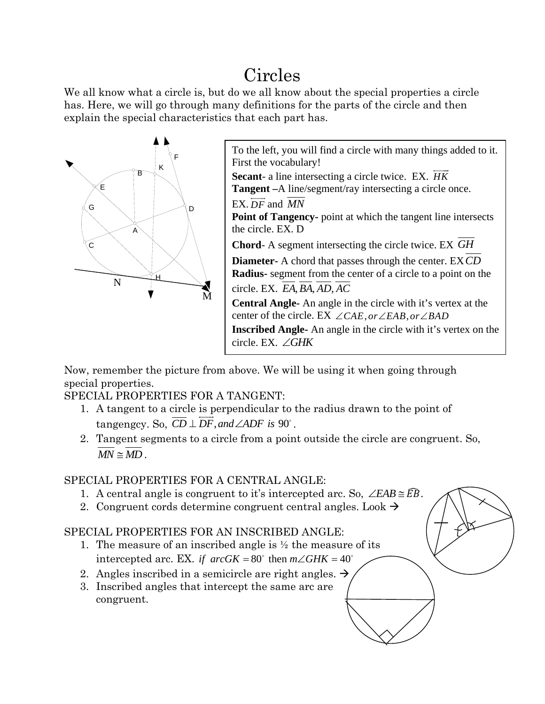# Circles

We all know what a circle is, but do we all know about the special properties a circle has. Here, we will go through many definitions for the parts of the circle and then explain the special characteristics that each part has.



To the left, you will find a circle with many things added to it.  $\overline{\phantom{a}}$ 

**Secant**- a line intersecting a circle twice. EX. *HK* **Tangent –**A line/segment/ray intersecting a circle once.

**Point of Tangency-** point at which the tangent line intersects

**Chord**- A segment intersecting the circle twice. EX *GH*

**Diameter-** A chord that passes through the center. EX*CD* **Radius-** segment from the center of a circle to a point on the circle. EX. *EA BA AD AC* ,, , **Central Angle-** An angle in the circle with it's vertex at the center of the circle. EX  $\angle CAE$ , or  $\angle EAB$ , or  $\angle BAD$ **Inscribed Angle-** An angle in the circle with it's vertex on the

Now, remember the picture from above. We will be using it when going through special properties.

circle. EX. ∠*GHK*

SPECIAL PROPERTIES FOR A TANGENT:

- 1. A tangent to a circle is perpendicular to the radius drawn to the point of tangengcy. So,  $CD \perp DF$ , and  $\angle ADF$  is 90°.
- 2. Tangent segments to a circle from a point outside the circle are congruent. So,  $MN \simeq MD$

# SPECIAL PROPERTIES FOR A CENTRAL ANGLE:

- 1. A central angle is congruent to it's intercepted arc. So,  $\angle EAB \cong \widehat{EB}$ .
- 2. Congruent cords determine congruent central angles. Look  $\rightarrow$

# SPECIAL PROPERTIES FOR AN INSCRIBED ANGLE:

- 1. The measure of an inscribed angle is  $\frac{1}{2}$  the measure of its intercepted arc. EX. *if arcGK* =  $80^\circ$  then  $m\angle GHK = 40^\circ$
- 2. Angles inscribed in a semicircle are right angles.  $\rightarrow$
- 3. Inscribed angles that intercept the same arc are congruent.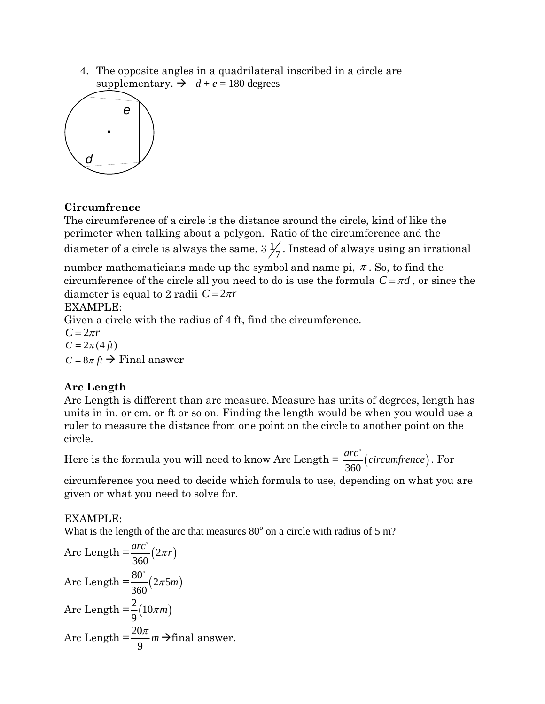4. The opposite angles in a quadrilateral inscribed in a circle are supplementary.  $\rightarrow$   $d+e = 180$  degrees



# **Circumfrence**

The circumference of a circle is the distance around the circle, kind of like the perimeter when talking about a polygon. Ratio of the circumference and the diameter of a circle is always the same,  $3\frac{1}{7}$ . Instead of always using an irrational

number mathematicians made up the symbol and name pi,  $\pi$ . So, to find the circumference of the circle all you need to do is use the formula  $C = \pi d$ , or since the diameter is equal to 2 radii  $C = 2\pi r$ 

# EXAMPLE:

Given a circle with the radius of 4 ft, find the circumference.

 $C = 2\pi r$  $C = 2\pi (4 \text{ ft})$  $C = 8\pi ft \rightarrow$  Final answer

# **Arc Length**

Arc Length is different than arc measure. Measure has units of degrees, length has units in in. or cm. or ft or so on. Finding the length would be when you would use a ruler to measure the distance from one point on the circle to another point on the circle.

Here is the formula you will need to know Arc Length =  $\frac{arc^{\circ}}{360}(circumference)$ . For

circumference you need to decide which formula to use, depending on what you are given or what you need to solve for.

EXAMPLE:

What is the length of the arc that measures  $80^{\circ}$  on a circle with radius of 5 m?

Arc Length = 
$$
\frac{arc^{\circ}}{360}(2\pi r)
$$
  
Arc Length =  $\frac{80^{\circ}}{360}(2\pi 5m)$   
Arc Length =  $\frac{2}{9}(10\pi m)$   
Arc Length =  $\frac{20\pi}{9}m \rightarrow$ final answer.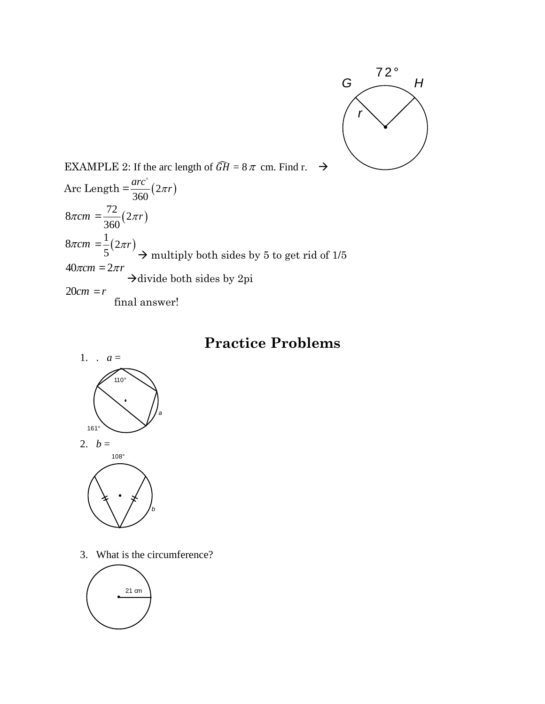

EXAMPLE 2: If the arc length of  $\widehat{GH} = 8\pi$  cm. Find r.  $\rightarrow$ Arc Length  $=\frac{dR}{d\Omega} (2\pi r)$ 360  $\frac{arc^{\degree}}{2\pi r}$  (2 $\pi r$ o  $8\pi$ *cm* =  $\frac{72}{250}(2\pi r)$ 360 <sup>π</sup> *r*  $8\pi$ *cm* =  $\frac{1}{2} (2\pi r)$ 5 <sup>π</sup>*r*  $\rightarrow$  multiply both sides by 5 to get rid of 1/5  $40\pi$ *cm* =  $2\pi r$  $\rightarrow$  divide both sides by 2pi  $20cm = r$ final answer!

# **Practice Problems**



3. What is the circumference?

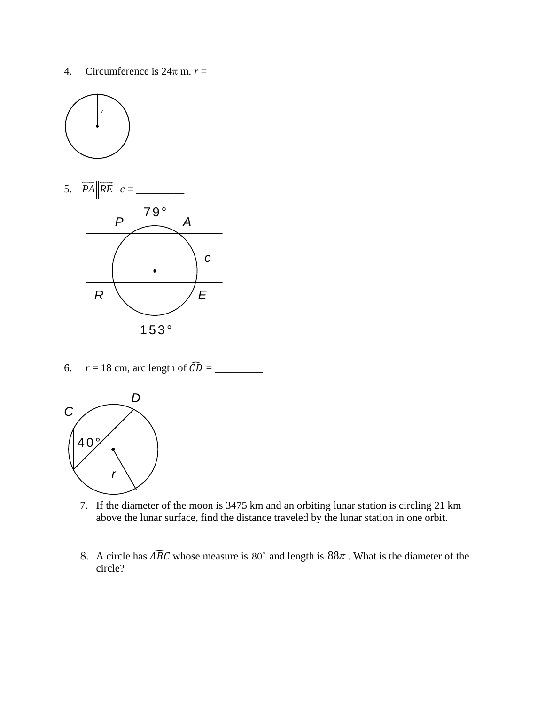4. Circumference is  $24\pi$  m.  $r =$ 





6. *r* = 18 cm, arc length of ܦܥ \_\_\_\_\_\_\_\_\_ =



- 7. If the diameter of the moon is 3475 km and an orbiting lunar station is circling 21 km above the lunar surface, find the distance traveled by the lunar station in one orbit.
- 8. A circle has  $\widehat{ABC}$  whose measure is 80° and length is 88 $\pi$ . What is the diameter of the circle?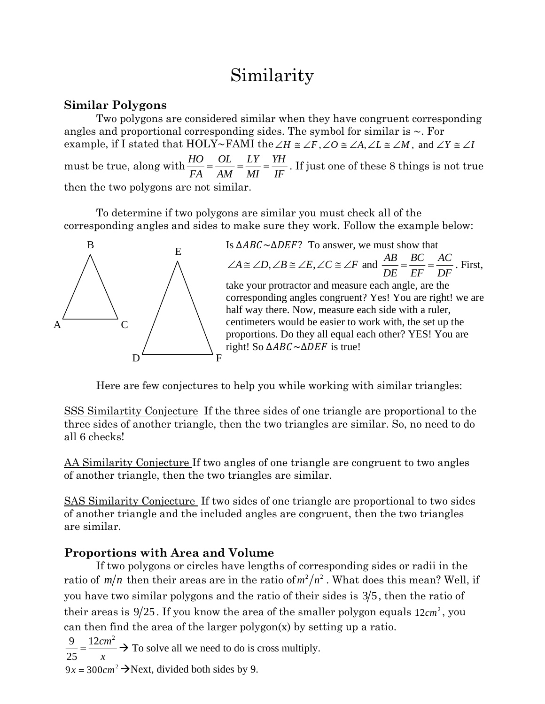# Similarity

# **Similar Polygons**

Two polygons are considered similar when they have congruent corresponding angles and proportional corresponding sides. The symbol for similar is  $\sim$ . For example, if I stated that HOLY~FAMI the ∠*H*  $\cong \angle F$ , ∠*O*  $\cong \angle A$ , ∠*L*  $\cong \angle M$ , and ∠*Y*  $\cong \angle I$ must be true, along with  $\frac{HO}{FA} = \frac{OL}{AM} = \frac{IY}{MI} = \frac{YH}{IF}$ . If just one of these 8 things is not true then the two polygons are not similar.

To determine if two polygons are similar you must check all of the corresponding angles and sides to make sure they work. Follow the example below:



E Is  $\triangle ABC \sim \triangle DEF$ ? To answer, we must show that  $A \cong \angle D, \angle B \cong \angle E, \angle C \cong \angle F$  and  $\frac{AB}{\angle B} = \frac{BC}{\angle B} = \frac{AC}{\angle B}$ *DE EF DF*  $\angle A \cong \angle D, \angle B \cong \angle E, \angle C \cong \angle F$  and  $\frac{AB}{\angle C} = \frac{BC}{\angle C} = \frac{AC}{\angle C}$ . First, take your protractor and measure each angle, are the corresponding angles congruent? Yes! You are right! we are half way there. Now, measure each side with a ruler, centimeters would be easier to work with, the set up the proportions. Do they all equal each other? YES! You are right! So ∆ABC~∆DEF is true!

Here are few conjectures to help you while working with similar triangles:

SSS Similartity Conjecture If the three sides of one triangle are proportional to the three sides of another triangle, then the two triangles are similar. So, no need to do all 6 checks!

AA Similarity Conjecture If two angles of one triangle are congruent to two angles of another triangle, then the two triangles are similar.

SAS Similarity Conjecture If two sides of one triangle are proportional to two sides of another triangle and the included angles are congruent, then the two triangles are similar.

# **Proportions with Area and Volume**

If two polygons or circles have lengths of corresponding sides or radii in the ratio of  $m/n$  then their areas are in the ratio of  $m^2/n^2$ . What does this mean? Well, if you have two similar polygons and the ratio of their sides is  $3/5$ , then the ratio of their areas is  $9/25$ . If you know the area of the smaller polygon equals  $12cm^2$ , you can then find the area of the larger  $\text{polygon}(x)$  by setting up a ratio.

9  $12 cm^2$ 25  $=\frac{12cm^2}{x}$   $\rightarrow$  To solve all we need to do is cross multiply.

 $9x = 300$  *cm*<sup>2</sup>  $\rightarrow$  Next, divided both sides by 9.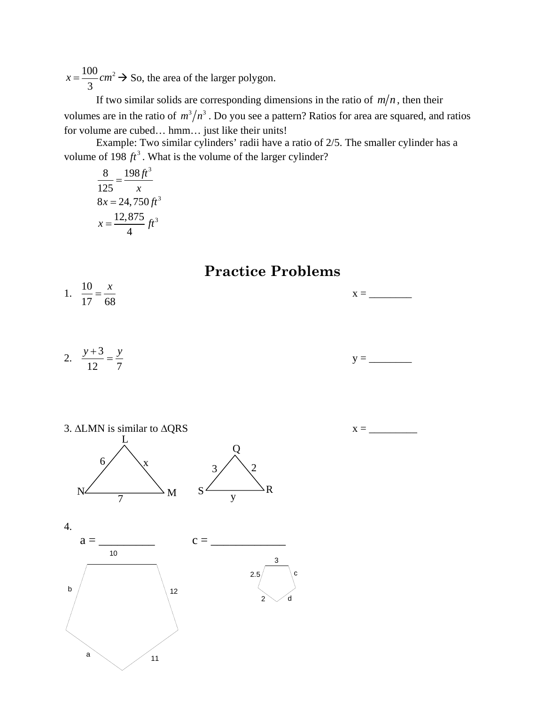$100$ <sub>2112</sub><sup>2</sup> 3  $x = \frac{100}{2}$  cm<sup>2</sup>  $\rightarrow$  So, the area of the larger polygon.

If two similar solids are corresponding dimensions in the ratio of  $m/n$ , then their volumes are in the ratio of  $m^3/n^3$ . Do you see a pattern? Ratios for area are squared, and ratios for volume are cubed… hmm… just like their units!

Example: Two similar cylinders' radii have a ratio of 2/5. The smaller cylinder has a volume of 198  $ft^3$ . What is the volume of the larger cylinder?

8 198 $\hat{\pi}^3$ 125  $\frac{198ft}{x}$  $8x = 24,750 \text{ ft}^3$ 12,875  $\mu$ <sub>3</sub> 4  $x = \frac{12,075}{t}$  ft

**Practice Problems** 

- 1. 17 68
- 2. 12 7  $\frac{y+3}{y} = \frac{y}{y}$ y = \_\_\_\_\_\_\_\_



$$
x = \underline{\hspace{2cm}}
$$

 $x = \_$ 



4.

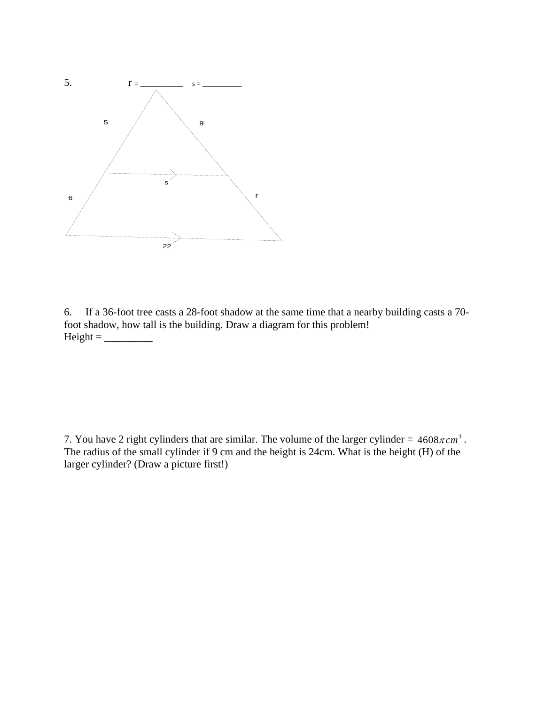

6. If a 36-foot tree casts a 28-foot shadow at the same time that a nearby building casts a 70 foot shadow, how tall is the building. Draw a diagram for this problem! Height = \_\_\_\_\_\_\_\_\_

7. You have 2 right cylinders that are similar. The volume of the larger cylinder =  $4608\pi cm^3$ . The radius of the small cylinder if 9 cm and the height is 24cm. What is the height (H) of the larger cylinder? (Draw a picture first!)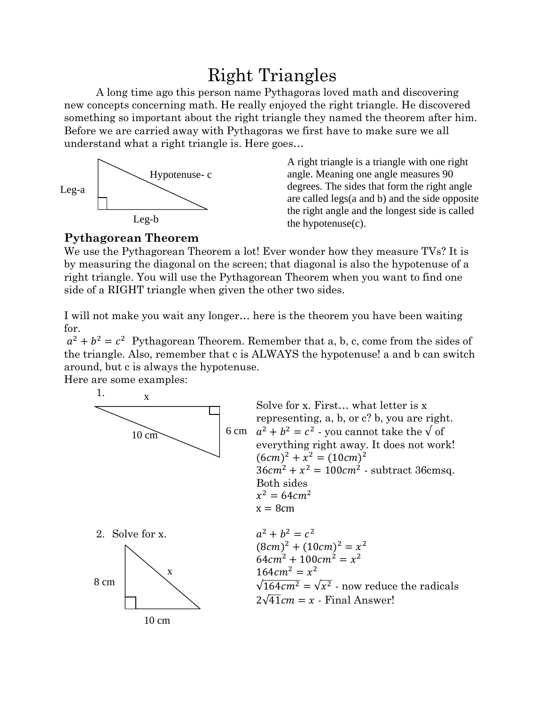# Right Triangles

A long time ago this person name Pythagoras loved math and discovering new concepts concerning math. He really enjoyed the right triangle. He discovered something so important about the right triangle they named the theorem after him. Before we are carried away with Pythagoras we first have to make sure we all understand what a right triangle is. Here goes…



A right triangle is a triangle with one right angle. Meaning one angle measures 90 degrees. The sides that form the right angle are called legs(a and b) and the side opposite the right angle and the longest side is called the hypotenuse(c).

# **Pythagorean Theorem**

We use the Pythagorean Theorem a lot! Ever wonder how they measure TVs? It is by measuring the diagonal on the screen; that diagonal is also the hypotenuse of a right triangle. You will use the Pythagorean Theorem when you want to find one side of a RIGHT triangle when given the other two sides.

I will not make you wait any longer… here is the theorem you have been waiting for.

 $a^{2} + b^{2} = c^{2}$  Pythagorean Theorem. Remember that a, b, c, come from the sides of the triangle. Also, remember that c is ALWAYS the hypotenuse! a and b can switch around, but c is always the hypotenuse.

Here are some examples:

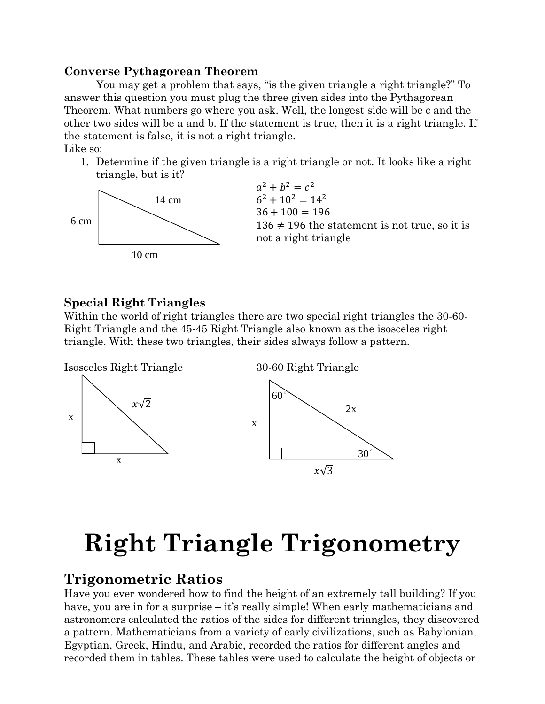#### **Converse Pythagorean Theorem**

You may get a problem that says, "is the given triangle a right triangle?" To answer this question you must plug the three given sides into the Pythagorean Theorem. What numbers go where you ask. Well, the longest side will be c and the other two sides will be a and b. If the statement is true, then it is a right triangle. If the statement is false, it is not a right triangle. Like so:

1. Determine if the given triangle is a right triangle or not. It looks like a right triangle, but is it?



# **Special Right Triangles**

Within the world of right triangles there are two special right triangles the 30-60- Right Triangle and the 45-45 Right Triangle also known as the isosceles right triangle. With these two triangles, their sides always follow a pattern.



# **Right Triangle Trigonometry**

# **Trigonometric Ratios**

Have you ever wondered how to find the height of an extremely tall building? If you have, you are in for a surprise – it's really simple! When early mathematicians and astronomers calculated the ratios of the sides for different triangles, they discovered a pattern. Mathematicians from a variety of early civilizations, such as Babylonian, Egyptian, Greek, Hindu, and Arabic, recorded the ratios for different angles and recorded them in tables. These tables were used to calculate the height of objects or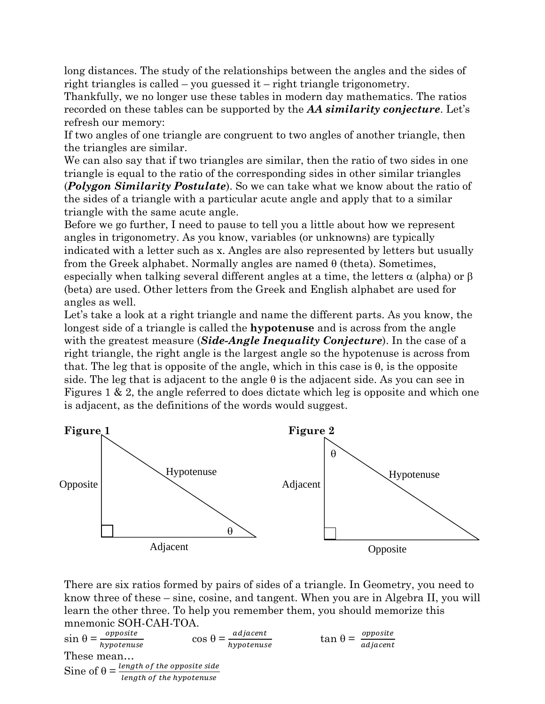long distances. The study of the relationships between the angles and the sides of right triangles is called – you guessed it – right triangle trigonometry.

Thankfully, we no longer use these tables in modern day mathematics. The ratios recorded on these tables can be supported by the *AA similarity conjecture*. Let's refresh our memory:

If two angles of one triangle are congruent to two angles of another triangle, then the triangles are similar.

We can also say that if two triangles are similar, then the ratio of two sides in one triangle is equal to the ratio of the corresponding sides in other similar triangles (*Polygon Similarity Postulate*). So we can take what we know about the ratio of the sides of a triangle with a particular acute angle and apply that to a similar triangle with the same acute angle.

Before we go further, I need to pause to tell you a little about how we represent angles in trigonometry. As you know, variables (or unknowns) are typically indicated with a letter such as x. Angles are also represented by letters but usually from the Greek alphabet. Normally angles are named θ (theta). Sometimes, especially when talking several different angles at a time, the letters  $\alpha$  (alpha) or  $\beta$ (beta) are used. Other letters from the Greek and English alphabet are used for angles as well.

Let's take a look at a right triangle and name the different parts. As you know, the longest side of a triangle is called the **hypotenuse** and is across from the angle with the greatest measure (*Side-Angle Inequality Conjecture*). In the case of a right triangle, the right angle is the largest angle so the hypotenuse is across from that. The leg that is opposite of the angle, which in this case is  $θ$ , is the opposite side. The leg that is adjacent to the angle  $\theta$  is the adjacent side. As you can see in Figures 1 & 2, the angle referred to does dictate which leg is opposite and which one is adjacent, as the definitions of the words would suggest.



There are six ratios formed by pairs of sides of a triangle. In Geometry, you need to know three of these – sine, cosine, and tangent. When you are in Algebra II, you will learn the other three. To help you remember them, you should memorize this mnemonic SOH-CAH-TOA.

$$
\sin \theta = \frac{opposite}{hypotenuse} \qquad \cos \theta = \frac{adjacent}{hypotenuse} \qquad \tan \theta = \frac{opposite}{adjacent}
$$
\n
$$
\text{These mean...}
$$
\n
$$
\text{Sine of } \theta = \frac{length \ of \ the \ opposite \ side}{length \ of \ the \ hypotenuse}
$$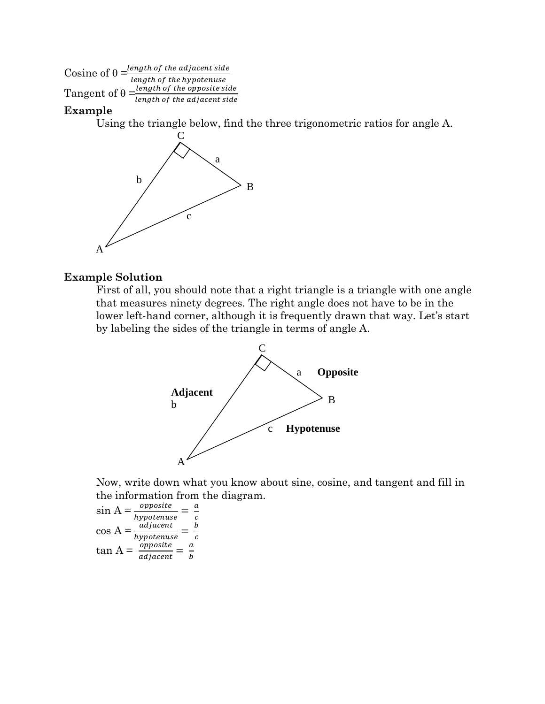Cosine of  $\theta = \frac{length\ of\ the\ adjacent\ side}{length\ of\ the\ hypotenuse}$ Cosine of  $\theta = \frac{length\ of\ the\ hypotenuse}{length\ of\ the\ opposite\ side}$ <br>Tangent of  $\theta = \frac{length\ of\ the\ opposite\ side}{length\ of\ the\ adjacent\ side}$  $\frac{1}{2}$  length of the adjacent side

#### **Example**

Using the triangle below, find the three trigonometric ratios for angle A.



#### **Example Solution**

First of all, you should note that a right triangle is a triangle with one angle that measures ninety degrees. The right angle does not have to be in the lower left-hand corner, although it is frequently drawn that way. Let's start by labeling the sides of the triangle in terms of angle A.



Now, write down what you know about sine, cosine, and tangent and fill in the information from the diagram.

$$
\sin A = \frac{opposite}{hypotenuse} = \frac{a}{c}
$$

$$
\cos A = \frac{adjacent}{hypotenuse} = \frac{b}{c}
$$

$$
\tan A = \frac{opposite}{adjacent} = \frac{a}{b}
$$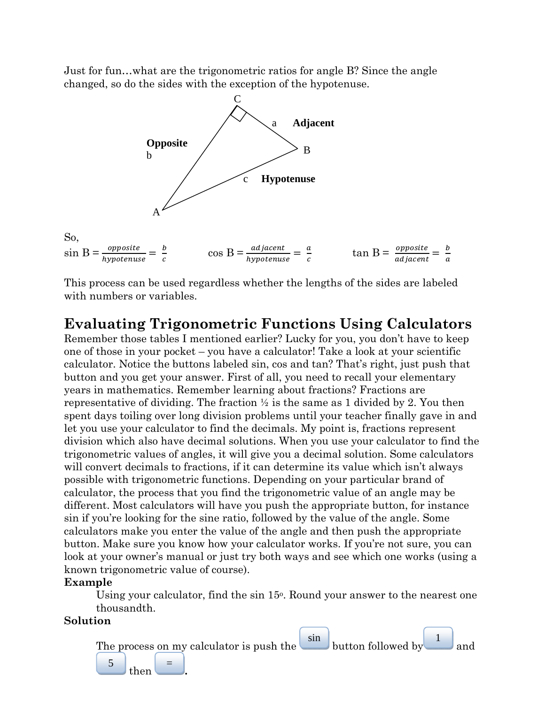Just for fun…what are the trigonometric ratios for angle B? Since the angle changed, so do the sides with the exception of the hypotenuse.



This process can be used regardless whether the lengths of the sides are labeled with numbers or variables.

# **Evaluating Trigonometric Functions Using Calculators**

Remember those tables I mentioned earlier? Lucky for you, you don't have to keep one of those in your pocket – you have a calculator! Take a look at your scientific calculator. Notice the buttons labeled sin, cos and tan? That's right, just push that button and you get your answer. First of all, you need to recall your elementary years in mathematics. Remember learning about fractions? Fractions are representative of dividing. The fraction  $\frac{1}{2}$  is the same as 1 divided by 2. You then spent days toiling over long division problems until your teacher finally gave in and let you use your calculator to find the decimals. My point is, fractions represent division which also have decimal solutions. When you use your calculator to find the trigonometric values of angles, it will give you a decimal solution. Some calculators will convert decimals to fractions, if it can determine its value which isn't always possible with trigonometric functions. Depending on your particular brand of calculator, the process that you find the trigonometric value of an angle may be different. Most calculators will have you push the appropriate button, for instance sin if you're looking for the sine ratio, followed by the value of the angle. Some calculators make you enter the value of the angle and then push the appropriate button. Make sure you know how your calculator works. If you're not sure, you can look at your owner's manual or just try both ways and see which one works (using a known trigonometric value of course).

#### **Example**

Using your calculator, find the sin 15<sup>o</sup>. Round your answer to the nearest one thousandth.

# **Solution**

 $\frac{5}{\text{then}}$ 

The process on my calculator is push the  $\sin$  $\vert$  button followed by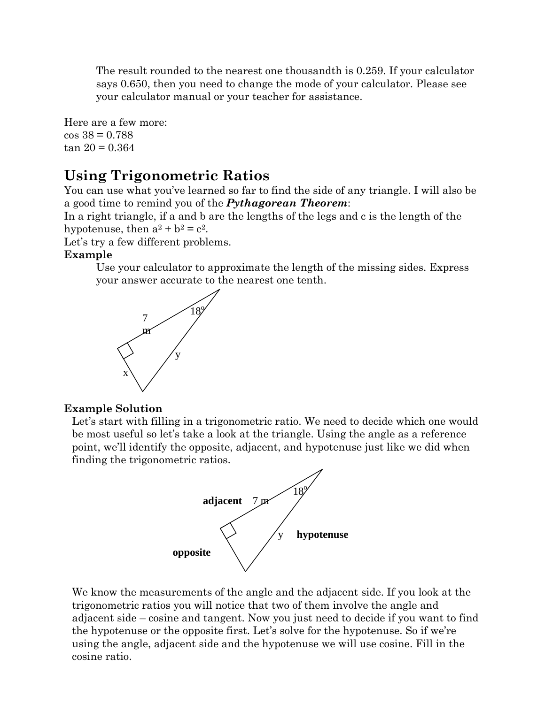The result rounded to the nearest one thousandth is 0.259. If your calculator says 0.650, then you need to change the mode of your calculator. Please see your calculator manual or your teacher for assistance.

Here are a few more:  $\cos 38 = 0.788$  $tan 20 = 0.364$ 

# **Using Trigonometric Ratios**

You can use what you've learned so far to find the side of any triangle. I will also be a good time to remind you of the *Pythagorean Theorem*:

In a right triangle, if a and b are the lengths of the legs and c is the length of the hypotenuse, then  $a^2 + b^2 = c^2$ .

Let's try a few different problems.

#### **Example**

Use your calculator to approximate the length of the missing sides. Express your answer accurate to the nearest one tenth.



#### **Example Solution**

Let's start with filling in a trigonometric ratio. We need to decide which one would be most useful so let's take a look at the triangle. Using the angle as a reference point, we'll identify the opposite, adjacent, and hypotenuse just like we did when finding the trigonometric ratios.



We know the measurements of the angle and the adjacent side. If you look at the trigonometric ratios you will notice that two of them involve the angle and adjacent side – cosine and tangent. Now you just need to decide if you want to find the hypotenuse or the opposite first. Let's solve for the hypotenuse. So if we're using the angle, adjacent side and the hypotenuse we will use cosine. Fill in the cosine ratio.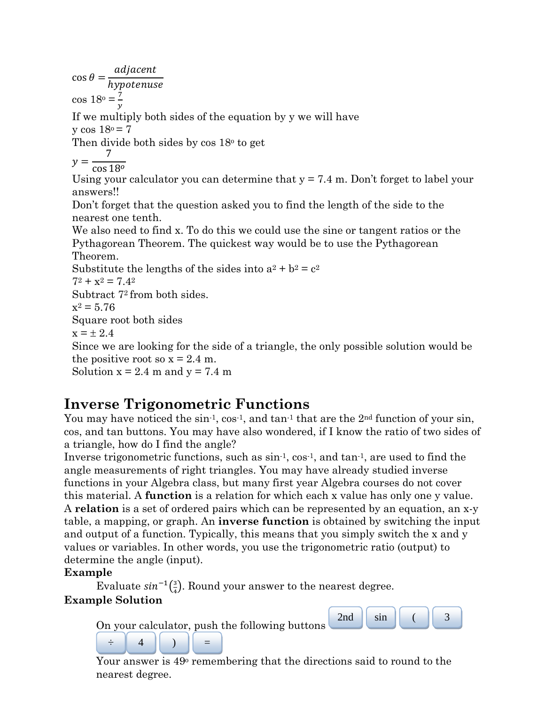adjacent  $\cos \theta =$ hypotenuse  $\cos 18^\circ = \frac{7}{1}$  $\mathcal{Y}$ If we multiply both sides of the equation by y we will have  $y \cos 18^\circ = 7$ Then divide both sides by  $\cos 18^\circ$  to get  $y =$ 7  $\cos 18^o$ Using your calculator you can determine that  $y = 7.4$  m. Don't forget to label your answers!! Don't forget that the question asked you to find the length of the side to the nearest one tenth. We also need to find x. To do this we could use the sine or tangent ratios or the Pythagorean Theorem. The quickest way would be to use the Pythagorean Theorem. Substitute the lengths of the sides into  $a^2 + b^2 = c^2$  $7^2 + x^2 = 7.4^2$ Subtract 72 from both sides.  $x^2 = 5.76$ Square root both sides  $x = \pm 2.4$ Since we are looking for the side of a triangle, the only possible solution would be the positive root so  $x = 2.4$  m. Solution  $x = 2.4$  m and  $y = 7.4$  m

# **Inverse Trigonometric Functions**

You may have noticed the  $\sin^{-1}$ ,  $\cos^{-1}$ , and  $\tan^{-1}$  that are the  $2^{nd}$  function of your  $\sin$ , cos, and tan buttons. You may have also wondered, if I know the ratio of two sides of a triangle, how do I find the angle?

Inverse trigonometric functions, such as  $\sin^{-1}$ ,  $\cos^{-1}$ , and  $\tan^{-1}$ , are used to find the angle measurements of right triangles. You may have already studied inverse functions in your Algebra class, but many first year Algebra courses do not cover this material. A **function** is a relation for which each x value has only one y value. A **relation** is a set of ordered pairs which can be represented by an equation, an x-y table, a mapping, or graph. An **inverse function** is obtained by switching the input and output of a function. Typically, this means that you simply switch the x and y values or variables. In other words, you use the trigonometric ratio (output) to determine the angle (input).

# **Example**

Evaluate  $sin^{-1}\left(\frac{3}{4}\right)$ . Round your answer to the nearest degree. **Example Solution** 





 $\begin{array}{c|c|c|c} \div & 4 & \overline{\phantom{a}1} & 4 & \overline{\phantom{a}1} & \overline{\phantom{a}1} & = & \overline{\phantom{a}1} & \overline{\phantom{a}1} & \overline{\phantom{a}1} & \overline{\phantom{a}1} & \overline{\phantom{a}1} & \overline{\phantom{a}1} & \overline{\phantom{a}1} & \overline{\phantom{a}1} & \overline{\phantom{a}1} & \overline{\phantom{a}1} & \overline{\phantom{a}1} & \overline{\phantom{a}1} & \overline{\phantom{a}1} & \overline{\$ nearest degree.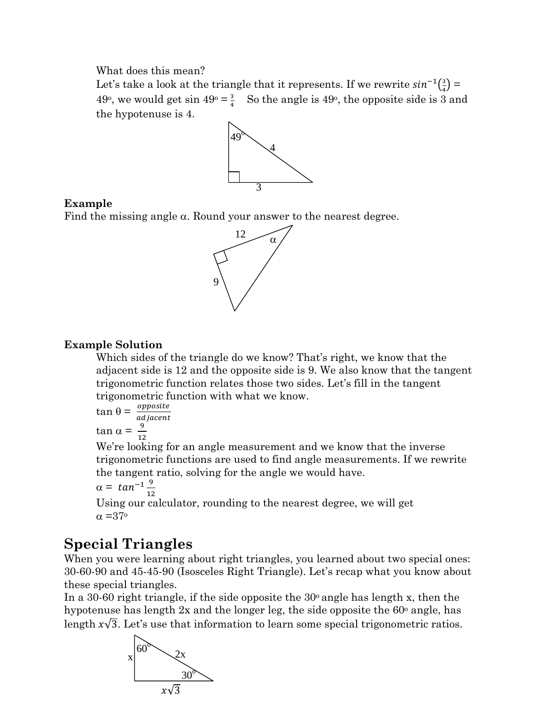What does this mean?

Let's take a look at the triangle that it represents. If we rewrite  $sin^{-1}(\frac{3}{4})$  = 49°, we would get sin  $49^\circ = \frac{3}{4}$  So the angle is 49°, the opposite side is 3 and the hypotenuse is 4.



# **Example**

Find the missing angle  $\alpha$ . Round your answer to the nearest degree.



# **Example Solution**

Which sides of the triangle do we know? That's right, we know that the adjacent side is 12 and the opposite side is 9. We also know that the tangent trigonometric function relates those two sides. Let's fill in the tangent trigonometric function with what we know.

$$
\tan \theta = \frac{opposite}{adjacent}
$$

tan α =  $\frac{9}{16}$  $12$ 

We're looking for an angle measurement and we know that the inverse trigonometric functions are used to find angle measurements. If we rewrite the tangent ratio, solving for the angle we would have.

$$
\alpha = \tan^{-1} \frac{9}{12}
$$

Using our calculator, rounding to the nearest degree, we will get  $\alpha = 37^\circ$ 

# **Special Triangles**

When you were learning about right triangles, you learned about two special ones: 30-60-90 and 45-45-90 (Isosceles Right Triangle). Let's recap what you know about these special triangles.

In a 30-60 right triangle, if the side opposite the  $30^{\circ}$  angle has length x, then the hypotenuse has length  $2x$  and the longer leg, the side opposite the  $60^\circ$  angle, has length  $x\sqrt{3}$ . Let's use that information to learn some special trigonometric ratios.

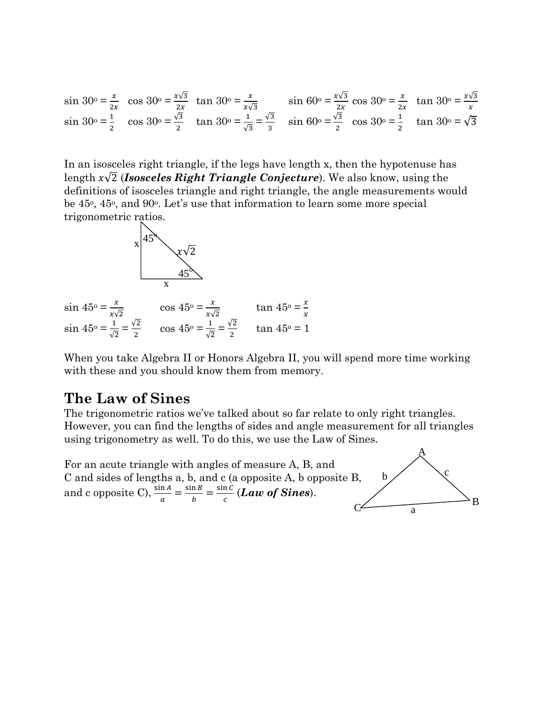$$
\sin 30^\circ = \frac{x}{2x} \quad \cos 30^\circ = \frac{x\sqrt{3}}{2x} \quad \tan 30^\circ = \frac{x}{x\sqrt{3}} \quad \sin 60^\circ = \frac{x\sqrt{3}}{2x} \quad \cos 30^\circ = \frac{x}{2x} \quad \tan 30^\circ = \frac{x\sqrt{3}}{x}
$$
\n
$$
\sin 30^\circ = \frac{1}{2} \quad \cos 30^\circ = \frac{\sqrt{3}}{2} \quad \tan 30^\circ = \frac{\sqrt{3}}{\sqrt{3}} \quad \sin 60^\circ = \frac{\sqrt{3}}{2} \quad \cos 30^\circ = \frac{1}{2} \quad \tan 30^\circ = \sqrt{3}
$$

In an isosceles right triangle, if the legs have length x, then the hypotenuse has length x√2<sup>7</sup> *(Isosceles Right Triangle Conjecture*). We also know, using the definitions of isosceles triangle and right triangle, the angle measurements would be 45<sup>o</sup>, 45<sup>o</sup>, and 90<sup>o</sup>. Let's use that information to learn some more special trigonometric ratios.



 $\sin 45^\circ = \frac{x}{x\sqrt{2}}$   $\cos 45^\circ = \frac{x}{x\sqrt{2}}$   $\tan 45^\circ = \frac{x}{x}$  $\sin 45^\circ = \frac{1}{6}$  $rac{1}{\sqrt{2}} = \frac{\sqrt{2}}{2}$  $\frac{\sqrt{2}}{2}$  cos 45<sup>o</sup> =  $\frac{1}{\sqrt{2}}$  $\frac{1}{\sqrt{2}} = \frac{\sqrt{2}}{2}$  $\frac{72}{2}$  tan 45° = 1

When you take Algebra II or Honors Algebra II, you will spend more time working with these and you should know them from memory.

# **The Law of Sines**

The trigonometric ratios we've talked about so far relate to only right triangles. However, you can find the lengths of sides and angle measurement for all triangles using trigonometry as well. To do this, we use the Law of Sines.

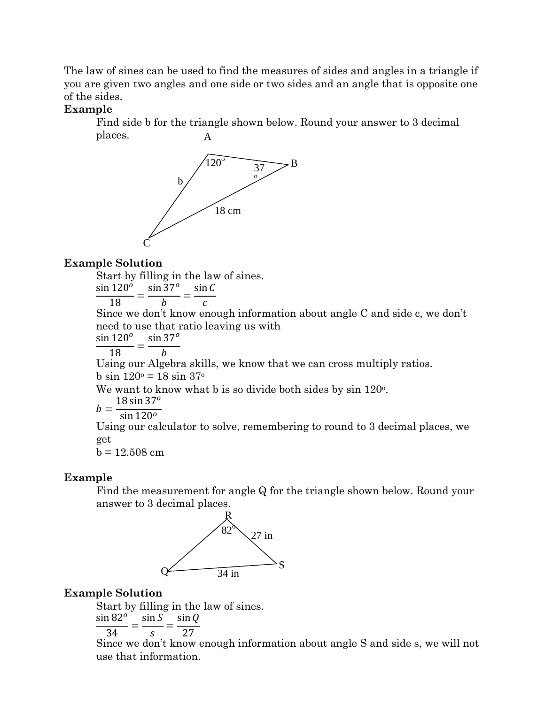The law of sines can be used to find the measures of sides and angles in a triangle if you are given two angles and one side or two sides and an angle that is opposite one of the sides.

#### **Example**

Find side b for the triangle shown below. Round your answer to 3 decimal places.  $\mathbf{A}$ 



# **Example Solution**

Start by filling in the law of sines.  $\sin 120^\circ$   $\sin 37^\circ$  $\sin C$ 

$$
\frac{1}{18} = \frac{b}{b} = \frac{c}{c}
$$

Since we don't know enough information about angle C and side c, we don't need to use that ratio leaving us with  $\overline{o}$ 

$$
\frac{\sin 120^o}{\sin 37^o} = \frac{\sin 37^o}{\sin 37^o}
$$

18  $\boldsymbol{b}$ 

Using our Algebra skills, we know that we can cross multiply ratios.  $b \sin 120^\circ = 18 \sin 37^\circ$ 

We want to know what b is so divide both sides by sin 120<sup>o</sup>.

$$
= \frac{18 \sin 37^{\circ}}{\sin 120^{\circ}}
$$

$$
b = \frac{3}{\sin 120}
$$

Using our calculator to solve, remembering to round to 3 decimal places, we get

 $b = 12.508$  cm

# Example

Find the measurement for angle Q for the triangle shown below. Round your answer to 3 decimal places.



# **Example Solution**

Start by filling in the law of sines.  $\sin 82^\circ$   $\sin 5^\circ$  $\sin \theta$ 

$$
\frac{34}{34} = \frac{34}{s} = \frac{34}{27}
$$

Since we don't know enough information about angle S and side s, we will not use that information.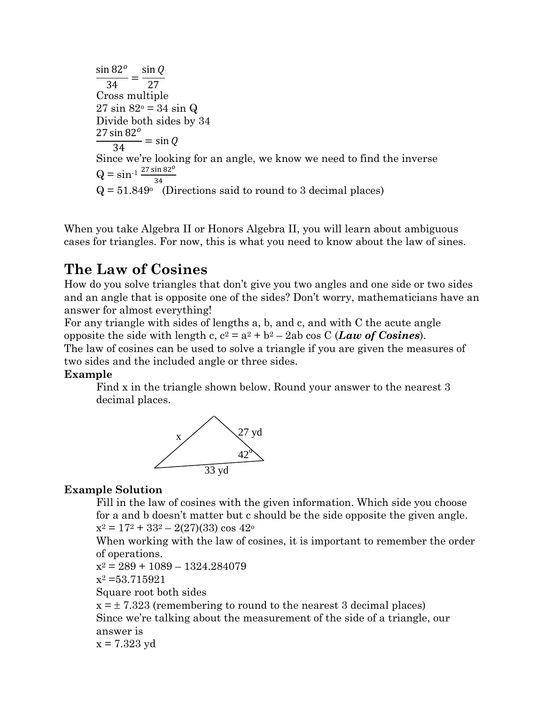$$
\frac{\sin 82^o}{34} = \frac{\sin Q}{27}
$$
  
Cross multiple  
27 sin 82° = 34 sin Q  
Divide both sides by 34  
27 sin 82°  
= sin Q  
Since we're looking for an angle, we know we need to find the inverse  
Q = sin<sup>-1</sup>  $\frac{27 \sin 82^o}{34}$   
Q = 51.849° (Directions said to round to 3 decimal places)

When you take Algebra II or Honors Algebra II, you will learn about ambiguous cases for triangles. For now, this is what you need to know about the law of sines.

# **The Law of Cosines**

How do you solve triangles that don't give you two angles and one side or two sides and an angle that is opposite one of the sides? Don't worry, mathematicians have an answer for almost everything!

For any triangle with sides of lengths a, b, and c, and with C the acute angle opposite the side with length c,  $c^2 = a^2 + b^2 - 2ab \cos C (Law \text{ of Cosines}).$ The law of cosines can be used to solve a triangle if you are given the measures of two sides and the included angle or three sides.

# **Example**

Find x in the triangle shown below. Round your answer to the nearest 3 decimal places.



# **Example Solution**

Fill in the law of cosines with the given information. Which side you choose for a and b doesn't matter but c should be the side opposite the given angle.  $x^2 = 17^2 + 33^2 - 2(27)(33) \cos 42^\circ$ 

When working with the law of cosines, it is important to remember the order of operations.

```
x^2 = 289 + 1089 - 1324.284079
```
 $x^2 = 53.715921$ 

Square root both sides

 $x = \pm 7.323$  (remembering to round to the nearest 3 decimal places) Since we're talking about the measurement of the side of a triangle, our answer is  $x = 7.323$  yd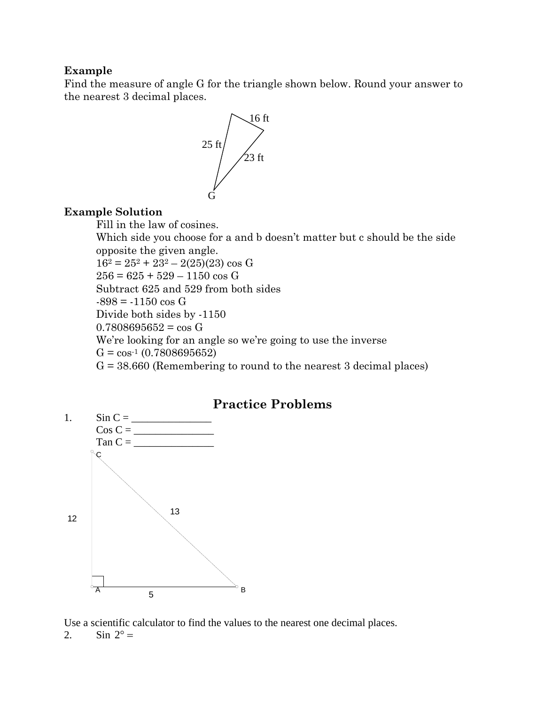#### **Example**

Find the measure of angle G for the triangle shown below. Round your answer to the nearest 3 decimal places.



#### **Example Solution**

Fill in the law of cosines.

Which side you choose for a and b doesn't matter but c should be the side opposite the given angle.  $16^2 = 25^2 + 23^2 - 2(25)(23) \cos G$ 

 $256 = 625 + 529 - 1150 \cos G$ 

Subtract 625 and 529 from both sides

 $-898 = -1150 \cos G$ 

Divide both sides by -1150

 $0.7808695652 = cos G$ 

We're looking for an angle so we're going to use the inverse

 $G = \cos^{-1}(0.7808695652)$ 

 $G = 38.660$  (Remembering to round to the nearest 3 decimal places)



Use a scientific calculator to find the values to the nearest one decimal places.

2. Sin  $2^{\circ} =$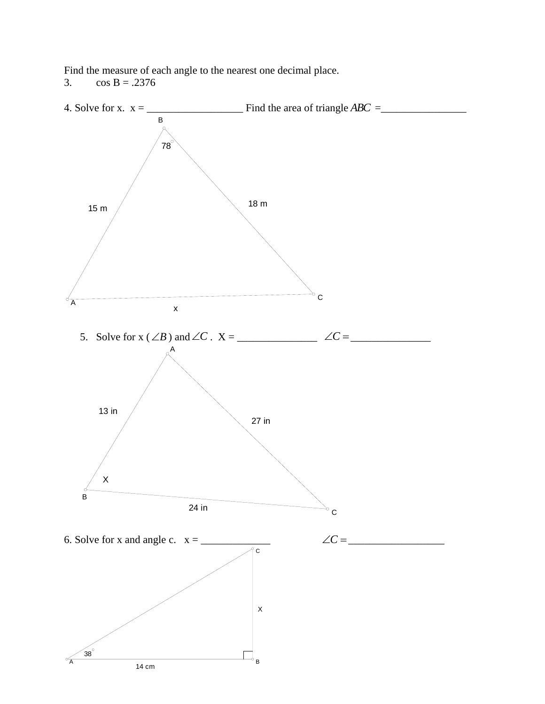Find the measure of each angle to the nearest one decimal place.

3.  $\cos B = .2376$